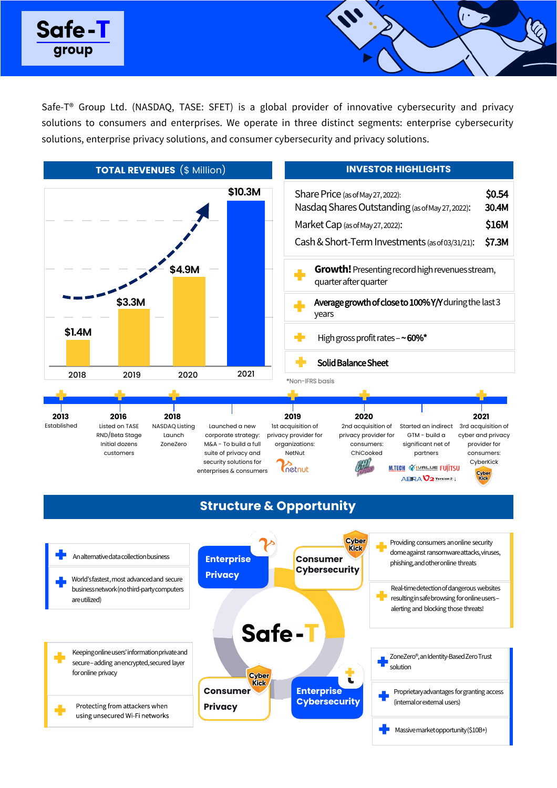



Safe-T® Group Ltd. (NASDAQ, TASE: SFET) is a global provider of innovative cybersecurity and privacy solutions to consumers and enterprises. We operate in three distinct segments: enterprise cybersecurity solutions, enterprise privacy solutions, and consumer cybersecurity and privacy solutions.

## **Structure & Opportunity**



Keeping online users' information private and secure –adding an encrypted, secured layer for online privacy

Protecting from attackers when using unsecured Wi-Fi networks